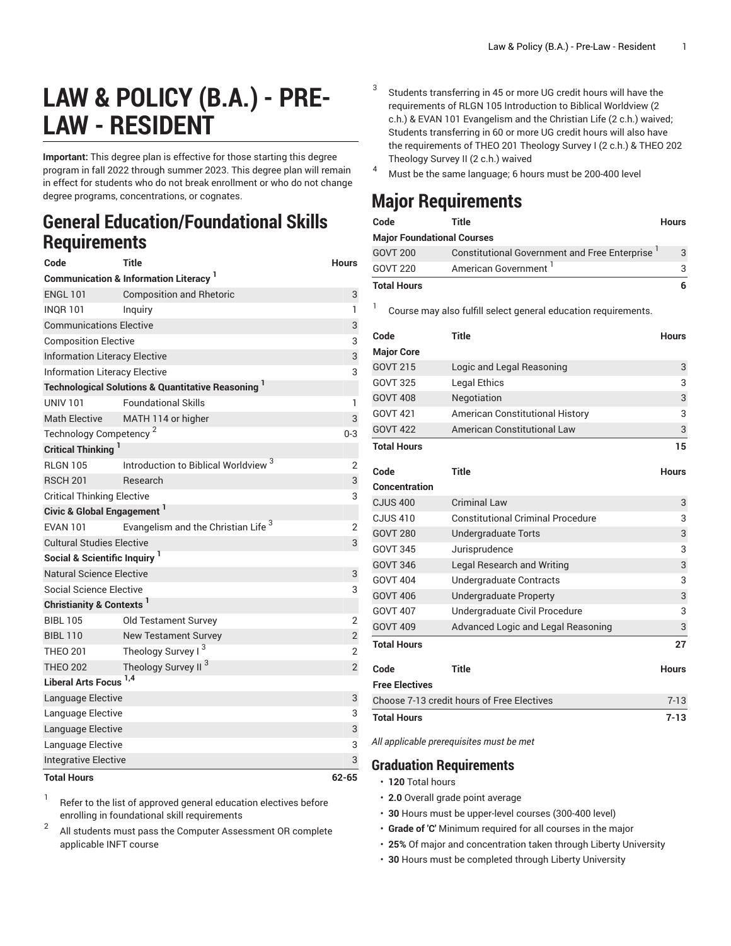## **LAW & POLICY (B.A.) - PRE-LAW - RESIDENT**

**Important:** This degree plan is effective for those starting this degree program in fall 2022 through summer 2023. This degree plan will remain in effect for students who do not break enrollment or who do not change degree programs, concentrations, or cognates.

## **General Education/Foundational Skills Requirements**

| Code                                              | <b>Title</b>                                                  | <b>Hours</b>   |  |  |
|---------------------------------------------------|---------------------------------------------------------------|----------------|--|--|
|                                                   | <b>Communication &amp; Information Literacy</b>               |                |  |  |
| <b>ENGL 101</b>                                   | <b>Composition and Rhetoric</b>                               | 3              |  |  |
| <b>INOR 101</b>                                   | Inguiry                                                       | 1              |  |  |
| <b>Communications Elective</b>                    |                                                               | 3              |  |  |
| <b>Composition Elective</b>                       | 3                                                             |                |  |  |
| <b>Information Literacy Elective</b>              |                                                               |                |  |  |
| <b>Information Literacy Elective</b>              |                                                               |                |  |  |
|                                                   | <b>Technological Solutions &amp; Quantitative Reasoning 1</b> |                |  |  |
| <b>UNIV 101</b>                                   | <b>Foundational Skills</b>                                    | 1              |  |  |
| <b>Math Elective</b>                              | MATH 114 or higher                                            | 3              |  |  |
| Technology Competency <sup>2</sup>                |                                                               |                |  |  |
| <b>Critical Thinking</b>                          |                                                               |                |  |  |
| <b>RLGN 105</b>                                   | Introduction to Biblical Worldview                            | 2              |  |  |
| <b>RSCH 201</b>                                   | Research                                                      | 3              |  |  |
| <b>Critical Thinking Elective</b>                 |                                                               |                |  |  |
| <b>Civic &amp; Global Engagement</b> <sup>1</sup> |                                                               |                |  |  |
| <b>EVAN 101</b>                                   | Evangelism and the Christian Life <sup>3</sup>                | $\overline{2}$ |  |  |
| <b>Cultural Studies Elective</b>                  |                                                               |                |  |  |
| Social & Scientific Inquiry                       |                                                               |                |  |  |
| <b>Natural Science Elective</b>                   |                                                               |                |  |  |
| Social Science Elective<br>3                      |                                                               |                |  |  |
| Christianity & Contexts <sup>1</sup>              |                                                               |                |  |  |
| <b>BIBL 105</b>                                   | Old Testament Survey                                          | $\overline{2}$ |  |  |
| <b>BIBL 110</b>                                   | <b>New Testament Survey</b>                                   | $\overline{2}$ |  |  |
| <b>THEO 201</b>                                   | Theology Survey I <sup>3</sup>                                | $\overline{2}$ |  |  |
| <b>THEO 202</b>                                   | Theology Survey II <sup>3</sup>                               | $\overline{2}$ |  |  |
| <b>Liberal Arts Focus</b>                         | 1,4                                                           |                |  |  |
| Language Elective                                 |                                                               | 3              |  |  |
| Language Elective                                 |                                                               |                |  |  |
| Language Elective                                 |                                                               |                |  |  |
| Language Elective                                 |                                                               |                |  |  |
| <b>Integrative Elective</b>                       |                                                               |                |  |  |
| <b>Total Hours</b><br>$62 - 65$                   |                                                               |                |  |  |

1 Refer to the list of approved general [education](https://www.liberty.edu/gened/) electives before enrolling in foundational skill requirements

2 All students must pass the [Computer Assessment](https://www.liberty.edu/computerassessment/) OR complete applicable INFT course

- Students transferring in 45 or more UG credit hours will have the requirements of RLGN 105 Introduction to Biblical Worldview (2 c.h.) & EVAN 101 Evangelism and the Christian Life (2 c.h.) waived; Students transferring in 60 or more UG credit hours will also have the requirements of THEO 201 Theology Survey I (2 c.h.) & THEO 202 Theology Survey II (2 c.h.) waived
- <sup>4</sup> Must be the same language; <sup>6</sup> hours must be 200-400 level

## **Major Requirements**

3

1

| Code                              | Title                                                | <b>Hours</b> |
|-----------------------------------|------------------------------------------------------|--------------|
| <b>Major Foundational Courses</b> |                                                      |              |
| <b>GOVT 200</b>                   | <b>Constitutional Government and Free Enterprise</b> | 3            |
| GOVT 220                          | American Government <sup>1</sup>                     |              |
| <b>Total Hours</b>                |                                                      |              |

Course may also fulfill select general education [requirements.](http://www.liberty.edu/academics/generalstudies/?PID=37563)

| Code                                       | <b>Title</b>                             | <b>Hours</b> |
|--------------------------------------------|------------------------------------------|--------------|
| <b>Major Core</b>                          |                                          |              |
| <b>GOVT 215</b>                            | Logic and Legal Reasoning                | 3            |
| <b>GOVT 325</b>                            | <b>Legal Ethics</b>                      | 3            |
| <b>GOVT 408</b>                            | Negotiation                              | 3            |
| <b>GOVT 421</b>                            | <b>American Constitutional History</b>   | 3            |
| <b>GOVT 422</b>                            | <b>American Constitutional Law</b>       | 3            |
| <b>Total Hours</b>                         |                                          | 15           |
|                                            |                                          |              |
| Code                                       | <b>Title</b>                             | <b>Hours</b> |
| Concentration                              |                                          |              |
| <b>CJUS 400</b>                            | <b>Criminal Law</b>                      | 3            |
| <b>CJUS 410</b>                            | <b>Constitutional Criminal Procedure</b> | 3            |
| <b>GOVT 280</b>                            | <b>Undergraduate Torts</b>               | 3            |
| <b>GOVT 345</b>                            | Jurisprudence                            | 3            |
| <b>GOVT 346</b>                            | <b>Legal Research and Writing</b>        | 3            |
| <b>GOVT 404</b>                            | Undergraduate Contracts                  | 3            |
| <b>GOVT 406</b>                            | Undergraduate Property                   | 3            |
| <b>GOVT 407</b>                            | Undergraduate Civil Procedure            | 3            |
| <b>GOVT 409</b>                            | Advanced Logic and Legal Reasoning       | 3            |
| <b>Total Hours</b>                         |                                          | 27           |
| Code                                       | <b>Title</b>                             | <b>Hours</b> |
| <b>Free Electives</b>                      |                                          |              |
| Choose 7-13 credit hours of Free Electives | $7 - 13$                                 |              |
| <b>Total Hours</b>                         |                                          | $7 - 13$     |

*All applicable prerequisites must be met*

## **Graduation Requirements**

- **120** Total hours
- **2.0** Overall grade point average
- **30** Hours must be upper-level courses (300-400 level)
- **Grade of 'C'** Minimum required for all courses in the major
- **25%** Of major and concentration taken through Liberty University
- **30** Hours must be completed through Liberty University